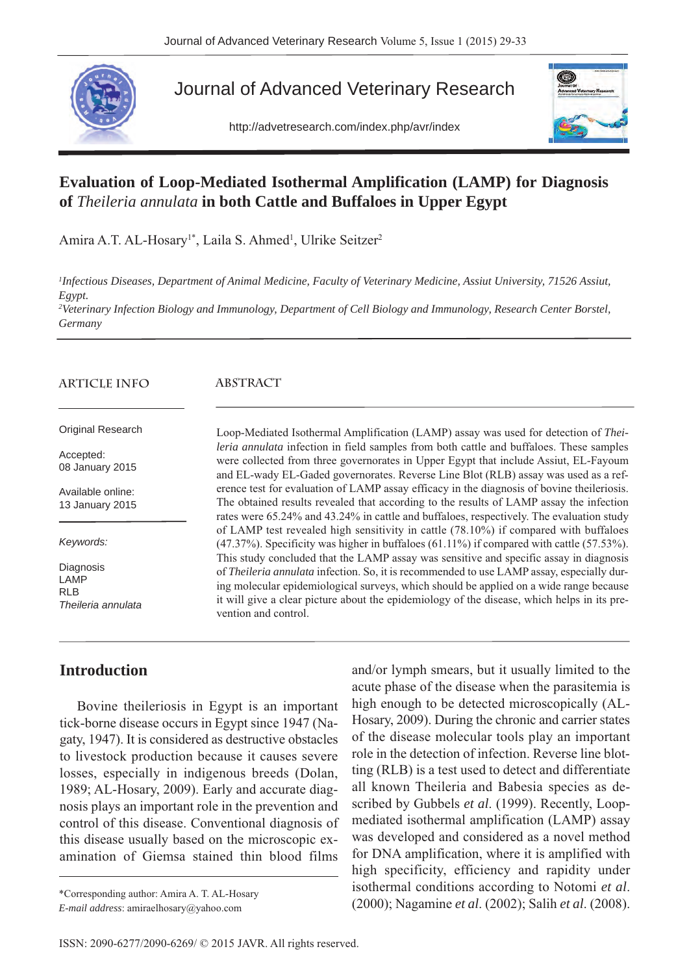

# Journal of Advanced Veterinary Research

http://advetresearch.com/index.php/avr/index



# **Evaluation of Loop-Mediated Isothermal Amplification (LAMP) for Diagnosis of** *Theileria annulata* **in both Cattle and Buffaloes in Upper Egypt**

Amira A.T. AL-Hosary<sup>1\*</sup>, Laila S. Ahmed<sup>1</sup>, Ulrike Seitzer<sup>2</sup>

*1 Infectious Diseases, Department of Animal Medicine, Faculty of Veterinary Medicine, Assiut University, 71526 Assiut, Egypt.*

*2 Veterinary Infection Biology and Immunology, Department of Cell Biology and Immunology, Research Center Borstel, Germany*

#### **ARTICLE INFO**

#### **ABSTRACT**

Original Research

Accepted: 08 January 2015

Available online: 13 January 2015

*Keywords:*

**Diagnosis** LAMP RL<sub>B</sub> *Theileria annulata* were collected from three governorates in Upper Egypt that include Assiut, EL-Fayoum and EL-wady EL-Gaded governorates. Reverse Line Blot (RLB) assay was used as a reference test for evaluation of LAMP assay efficacy in the diagnosis of bovine theileriosis. The obtained results revealed that according to the results of LAMP assay the infection rates were 65.24% and 43.24% in cattle and buffaloes, respectively. The evaluation study of LAMP test revealed high sensitivity in cattle (78.10%) if compared with buffaloes (47.37%). Specificity was higher in buffaloes (61.11%) if compared with cattle (57.53%). This study concluded that the LAMP assay was sensitive and specific assay in diagnosis of *Theileria annulata* infection. So, it is recommended to use LAMP assay, especially during molecular epidemiological surveys, which should be applied on a wide range because it will give a clear picture about the epidemiology of the disease, which helps in its prevention and control.

Loop-Mediated Isothermal Amplification (LAMP) assay was used for detection of *Theileria annulata* infection in field samples from both cattle and buffaloes. These samples

### **Introduction**

Bovine theileriosis in Egypt is an important tick-borne disease occurs in Egypt since 1947 (Nagaty, 1947). It is considered as destructive obstacles to livestock production because it causes severe losses, especially in indigenous breeds (Dolan, 1989; AL-Hosary, 2009). Early and accurate diagnosis plays an important role in the prevention and control of this disease. Conventional diagnosis of this disease usually based on the microscopic examination of Giemsa stained thin blood films

*E-mail address*: amiraelhosary@yahoo.com

and/or lymph smears, but it usually limited to the acute phase of the disease when the parasitemia is high enough to be detected microscopically (AL-Hosary, 2009). During the chronic and carrier states of the disease molecular tools play an important role in the detection of infection. Reverse line blotting (RLB) is a test used to detect and differentiate all known Theileria and Babesia species as described by Gubbels *et al*. (1999). Recently, Loopmediated isothermal amplification (LAMP) assay was developed and considered as a novel method for DNA amplification, where it is amplified with high specificity, efficiency and rapidity under isothermal conditions according to Notomi *et al*. (2000); Nagamine *et al*. (2002); Salih *et al*. (2008). \*Corresponding author: Amira A. T. AL-Hosary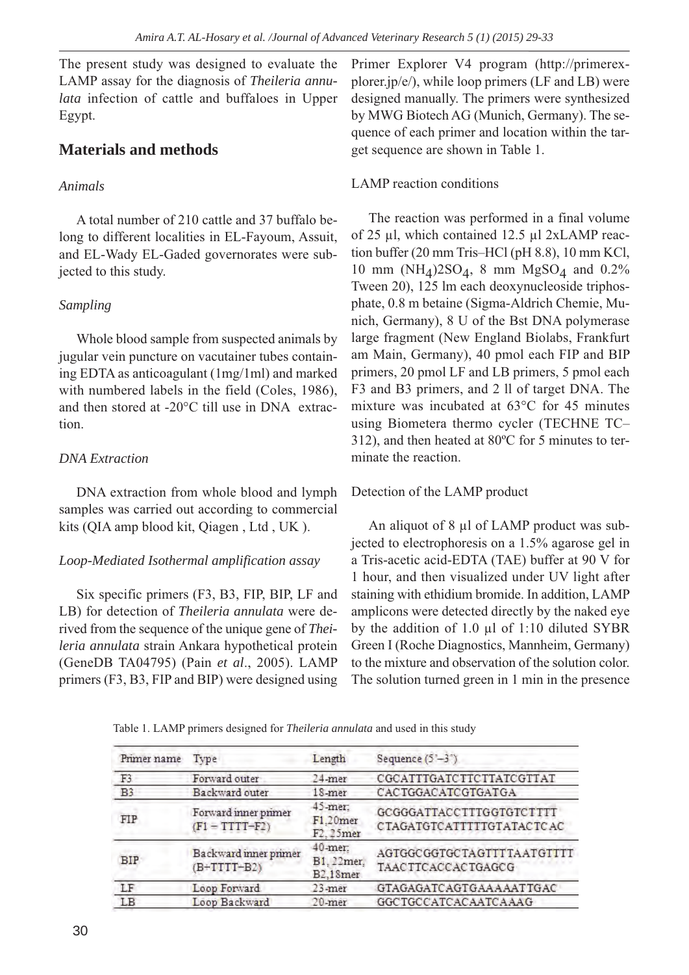The present study was designed to evaluate the LAMP assay for the diagnosis of *Theileria annulata* infection of cattle and buffaloes in Upper Egypt.

# **Materials and methods**

### *Animals*

A total number of 210 cattle and 37 buffalo belong to different localities in EL-Fayoum, Assuit, and EL-Wady EL-Gaded governorates were subjected to this study.

## *Sampling*

Whole blood sample from suspected animals by jugular vein puncture on vacutainer tubes containing EDTA as anticoagulant (1mg/1ml) and marked with numbered labels in the field (Coles, 1986), and then stored at -20°C till use in DNA extraction.

## *DNA Extraction*

DNA extraction from whole blood and lymph samples was carried out according to commercial kits (QIA amp blood kit, Qiagen , Ltd , UK ).

## *Loop-Mediated Isothermal amplification assay*

Six specific primers (F3, B3, FIP, BIP, LF and LB) for detection of *Theileria annulata* were derived from the sequence of the unique gene of *Theileria annulata* strain Ankara hypothetical protein (GeneDB TA04795) (Pain *et al*., 2005). LAMP primers (F3, B3, FIP and BIP) were designed using Primer Explorer V4 program (http://primerexplorer.jp/e/), while loop primers (LF and LB) were designed manually. The primers were synthesized by MWG Biotech AG (Munich, Germany). The sequence of each primer and location within the target sequence are shown in Table 1.

## LAMP reaction conditions

The reaction was performed in a final volume of 25 µl, which contained 12.5 µl 2xLAMP reaction buffer (20 mm Tris–HCl (pH 8.8), 10 mm KCl, 10 mm (NH<sub>4</sub>)2SO<sub>4</sub>, 8 mm MgSO<sub>4</sub> and 0.2% Tween 20), 125 lm each deoxynucleoside triphosphate, 0.8 m betaine (Sigma-Aldrich Chemie, Munich, Germany), 8 U of the Bst DNA polymerase large fragment (New England Biolabs, Frankfurt am Main, Germany), 40 pmol each FIP and BIP primers, 20 pmol LF and LB primers, 5 pmol each F3 and B3 primers, and 2 ll of target DNA. The mixture was incubated at 63°C for 45 minutes using Biometera thermo cycler (TECHNE TC– 312), and then heated at 80ºC for 5 minutes to terminate the reaction.

## Detection of the LAMP product

An aliquot of 8 µl of LAMP product was subjected to electrophoresis on a 1.5% agarose gel in a Tris-acetic acid-EDTA (TAE) buffer at 90 V for 1 hour, and then visualized under UV light after staining with ethidium bromide. In addition, LAMP amplicons were detected directly by the naked eye by the addition of 1.0  $\mu$ l of 1:10 diluted SYBR Green I (Roche Diagnostics, Mannheim, Germany) to the mixture and observation of the solution color. The solution turned green in 1 min in the presence

Table 1. LAMP primers designed for *Theileria annulata* and used in this study

| Primer name    | Type                                       | Length                            | Sequence $(5'-3')$                                    |  |  |  |
|----------------|--------------------------------------------|-----------------------------------|-------------------------------------------------------|--|--|--|
| F <sub>3</sub> | Forward outer                              | $24$ -mer                         | CGCATTTGATCTTCTTATCGTTAT                              |  |  |  |
| B <sub>3</sub> | Backward outer                             | $18$ -mer                         | CACTGGACATCGTGATGA                                    |  |  |  |
| <b>FIP</b>     | Forward inner primer<br>$(F1 - TTTT - F2)$ | 45-mer:<br>F1.20mer<br>F2.25mer   | GCGGGATTACCTTTGGTGTCTTTT<br>CTAGATGTCATTTTTGTATACTCAC |  |  |  |
| <b>BIP</b>     | Backward inner primer<br>$(B+TTTT+B2)$     | 40-mer:<br>B1, 22mer.<br>B2.18mer | AGTGGCGGTGCTAGTTTTAATGTTTT<br>TAACTTCACCACTGAGCG      |  |  |  |
| LF             | Loop Forward                               | 23-mer                            | GTAGAGATCAGTGAAAAATTGAC                               |  |  |  |
| LB             | Loop Backward                              | 20-mer                            | GGCTGCCATCACAATCAAAG                                  |  |  |  |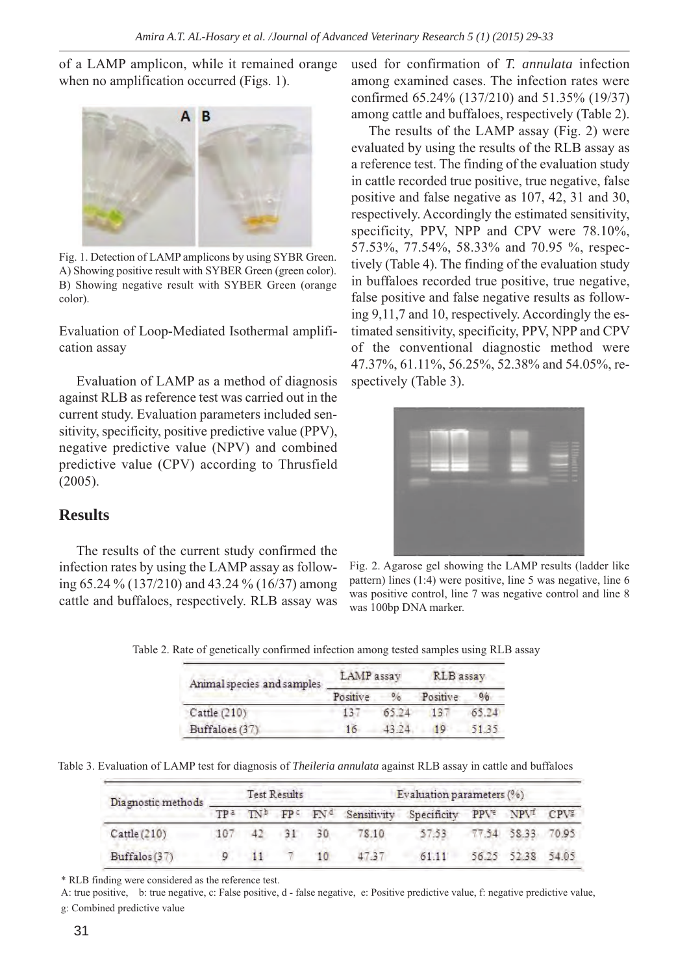of a LAMP amplicon, while it remained orange when no amplification occurred (Figs. 1).



Fig. 1. Detection of LAMP amplicons by using SYBR Green. A) Showing positive result with SYBER Green (green color). B) Showing negative result with SYBER Green (orange color).

Evaluation of Loop-Mediated Isothermal amplification assay

Evaluation of LAMP as a method of diagnosis against RLB as reference test was carried out in the current study. Evaluation parameters included sensitivity, specificity, positive predictive value (PPV), negative predictive value (NPV) and combined predictive value (CPV) according to Thrusfield (2005).

# **Results**

The results of the current study confirmed the infection rates by using the LAMP assay as following 65.24 % (137/210) and 43.24 % (16/37) among cattle and buffaloes, respectively. RLB assay was used for confirmation of *T. annulata* infection among examined cases. The infection rates were confirmed 65.24% (137/210) and 51.35% (19/37) among cattle and buffaloes, respectively (Table 2).

The results of the LAMP assay (Fig. 2) were evaluated by using the results of the RLB assay as a reference test. The finding of the evaluation study in cattle recorded true positive, true negative, false positive and false negative as 107, 42, 31 and 30, respectively. Accordingly the estimated sensitivity, specificity, PPV, NPP and CPV were 78.10%, 57.53%, 77.54%, 58.33% and 70.95 %, respectively (Table 4). The finding of the evaluation study in buffaloes recorded true positive, true negative, false positive and false negative results as following 9,11,7 and 10, respectively. Accordingly the estimated sensitivity, specificity, PPV, NPP and CPV of the conventional diagnostic method were 47.37%, 61.11%, 56.25%, 52.38% and 54.05%, respectively (Table 3).



Fig. 2. Agarose gel showing the LAMP results (ladder like pattern) lines (1:4) were positive, line 5 was negative, line 6 was positive control, line 7 was negative control and line 8 was 100bp DNA marker.

| Animal species and samples | LAMP assay |       | RLB assay |                |  |
|----------------------------|------------|-------|-----------|----------------|--|
|                            | Positive   | 0/6   | Positive  | 0 <sub>0</sub> |  |
| Cattle (210)               |            | 65.74 | 131       | 65.74          |  |
| Buffaloes (37)             |            |       | 10        | 51.35          |  |

Table 3. Evaluation of LAMP test for diagnosis of *Theileria annulata* against RLB assay in cattle and buffaloes

| Diagnostic methods | Test Results    |  |       |     | Evaluation parameters (%) |                                                                                                                            |  |                   |  |
|--------------------|-----------------|--|-------|-----|---------------------------|----------------------------------------------------------------------------------------------------------------------------|--|-------------------|--|
|                    | TP <sup>2</sup> |  |       |     |                           | TN <sup>b</sup> FP <sup>c</sup> FN <sup>d</sup> Sensitivity Specificity PPV <sup>2</sup> NPV <sup>2</sup> CPV <sup>2</sup> |  |                   |  |
| Cattle (210)       |                 |  | $-31$ | -30 | 78.10                     | 57.53                                                                                                                      |  | 77.54 58.33 70.95 |  |
| Buffalos (37)      |                 |  |       |     | 47.37                     | 61.11                                                                                                                      |  | 56.25 52.38 54.05 |  |

\* RLB finding were considered as the reference test.

A: true positive, b: true negative, c: False positive, d - false negative, e: Positive predictive value, f: negative predictive value, g: Combined predictive value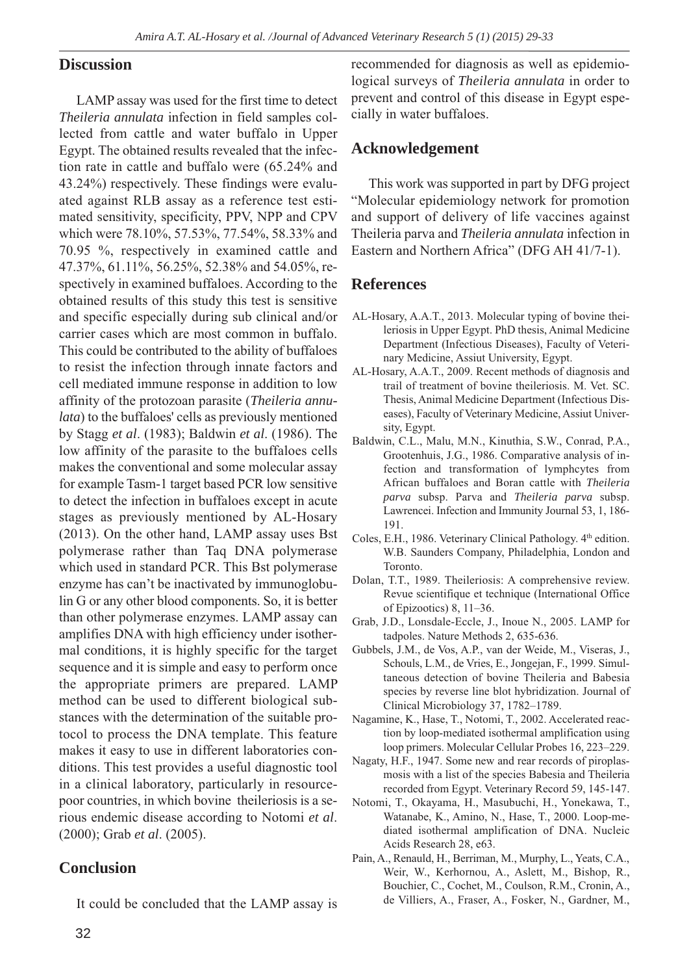#### **Discussion**

LAMP assay was used for the first time to detect *Theileria annulata* infection in field samples collected from cattle and water buffalo in Upper Egypt. The obtained results revealed that the infection rate in cattle and buffalo were (65.24% and 43.24%) respectively. These findings were evaluated against RLB assay as a reference test estimated sensitivity, specificity, PPV, NPP and CPV which were 78.10%, 57.53%, 77.54%, 58.33% and 70.95 %, respectively in examined cattle and 47.37%, 61.11%, 56.25%, 52.38% and 54.05%, respectively in examined buffaloes. According to the obtained results of this study this test is sensitive and specific especially during sub clinical and/or carrier cases which are most common in buffalo. This could be contributed to the ability of buffaloes to resist the infection through innate factors and cell mediated immune response in addition to low affinity of the protozoan parasite (*Theileria annulata*) to the buffaloes' cells as previously mentioned by Stagg *et al*. (1983); Baldwin *et al*. (1986). The low affinity of the parasite to the buffaloes cells makes the conventional and some molecular assay for example Tasm-1 target based PCR low sensitive to detect the infection in buffaloes except in acute stages as previously mentioned by AL-Hosary (2013). On the other hand, LAMP assay uses Bst polymerase rather than Taq DNA polymerase which used in standard PCR. This Bst polymerase enzyme has can't be inactivated by immunoglobulin G or any other blood components. So, it is better than other polymerase enzymes. LAMP assay can amplifies DNA with high efficiency under isothermal conditions, it is highly specific for the target sequence and it is simple and easy to perform once the appropriate primers are prepared. LAMP method can be used to different biological substances with the determination of the suitable protocol to process the DNA template. This feature makes it easy to use in different laboratories conditions. This test provides a useful diagnostic tool in a clinical laboratory, particularly in resourcepoor countries, in which bovine theileriosis is a serious endemic disease according to Notomi *et al*. (2000); Grab *et al*. (2005).

#### **Conclusion**

It could be concluded that the LAMP assay is

recommended for diagnosis as well as epidemiological surveys of *Theileria annulata* in order to prevent and control of this disease in Egypt especially in water buffaloes.

#### **Acknowledgement**

This work was supported in part by DFG project "Molecular epidemiology network for promotion and support of delivery of life vaccines against Theileria parva and *Theileria annulata* infection in Eastern and Northern Africa" (DFG AH 41/7-1).

#### **References**

- AL-Hosary, A.A.T., 2013. Molecular typing of bovine theileriosis in Upper Egypt. PhD thesis, Animal Medicine Department (Infectious Diseases), Faculty of Veterinary Medicine, Assiut University, Egypt.
- AL-Hosary, A.A.T., 2009. Recent methods of diagnosis and trail of treatment of bovine theileriosis. M. Vet. SC. Thesis, Animal Medicine Department (Infectious Diseases), Faculty of Veterinary Medicine, Assiut University, Egypt.
- Baldwin, C.L., Malu, M.N., Kinuthia, S.W., Conrad, P.A., Grootenhuis, J.G., 1986. Comparative analysis of infection and transformation of lymphcytes from African buffaloes and Boran cattle with *Theileria parva* subsp. Parva and *Theileria parva* subsp. Lawrencei. Infection and Immunity Journal 53, 1, 186- 191.
- Coles, E.H., 1986. Veterinary Clinical Pathology. 4<sup>th</sup> edition. W.B. Saunders Company, Philadelphia, London and Toronto.
- Dolan, T.T., 1989. Theileriosis: A comprehensive review. Revue scientifique et technique (International Office of Epizootics) 8, 11–36.
- Grab, J.D., Lonsdale-Eccle, J., Inoue N., 2005. LAMP for tadpoles. Nature Methods 2, 635-636.
- Gubbels, J.M., de Vos, A.P., van der Weide, M., Viseras, J., Schouls, L.M., de Vries, E., Jongejan, F., 1999. Simultaneous detection of bovine Theileria and Babesia species by reverse line blot hybridization. Journal of Clinical Microbiology 37, 1782–1789.
- Nagamine, K., Hase, T., Notomi, T., 2002. Accelerated reaction by loop-mediated isothermal amplification using loop primers. Molecular Cellular Probes 16, 223–229.
- Nagaty, H.F., 1947. Some new and rear records of piroplasmosis with a list of the species Babesia and Theileria recorded from Egypt. Veterinary Record 59, 145-147.
- Notomi, T., Okayama, H., Masubuchi, H., Yonekawa, T., Watanabe, K., Amino, N., Hase, T., 2000. Loop-mediated isothermal amplification of DNA. Nucleic Acids Research 28, e63.
- Pain, A., Renauld, H., Berriman, M., Murphy, L., Yeats, C.A., Weir, W., Kerhornou, A., Aslett, M., Bishop, R., Bouchier, C., Cochet, M., Coulson, R.M., Cronin, A., de Villiers, A., Fraser, A., Fosker, N., Gardner, M.,